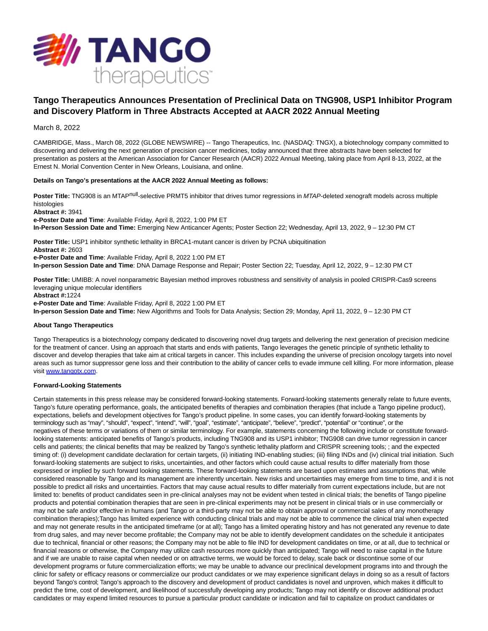

# **Tango Therapeutics Announces Presentation of Preclinical Data on TNG908, USP1 Inhibitor Program and Discovery Platform in Three Abstracts Accepted at AACR 2022 Annual Meeting**

March 8, 2022

CAMBRIDGE, Mass., March 08, 2022 (GLOBE NEWSWIRE) -- Tango Therapeutics, Inc. (NASDAQ: TNGX), a biotechnology company committed to discovering and delivering the next generation of precision cancer medicines, today announced that three abstracts have been selected for presentation as posters at the American Association for Cancer Research (AACR) 2022 Annual Meeting, taking place from April 8-13, 2022, at the Ernest N. Morial Convention Center in New Orleans, Louisiana, and online.

### **Details on Tango's presentations at the AACR 2022 Annual Meeting as follows:**

Poster Title: TNG908 is an MTAP<sup>null</sup>-selective PRMT5 inhibitor that drives tumor regressions in MTAP-deleted xenograft models across multiple histologies

**Abstract #:** 3941

**e-Poster Date and Time**: Available Friday, April 8, 2022, 1:00 PM ET

**In-Person Session Date and Time:** Emerging New Anticancer Agents; Poster Section 22; Wednesday, April 13, 2022, 9 – 12:30 PM CT

**Poster Title:** USP1 inhibitor synthetic lethality in BRCA1-mutant cancer is driven by PCNA ubiquitination **Abstract #:** 2603

**e-Poster Date and Time**: Available Friday, April 8, 2022 1:00 PM ET

**In-person Session Date and Time**: DNA Damage Response and Repair; Poster Section 22; Tuesday, April 12, 2022, 9 – 12:30 PM CT

**Poster Title:** UMIBB: A novel nonparametric Bayesian method improves robustness and sensitivity of analysis in pooled CRISPR-Cas9 screens leveraging unique molecular identifiers

**Abstract #:**1224

**e-Poster Date and Time**: Available Friday, April 8, 2022 1:00 PM ET

**In-person Session Date and Time:** New Algorithms and Tools for Data Analysis; Section 29; Monday, April 11, 2022, 9 – 12:30 PM CT

## **About Tango Therapeutics**

Tango Therapeutics is a biotechnology company dedicated to discovering novel drug targets and delivering the next generation of precision medicine for the treatment of cancer. Using an approach that starts and ends with patients, Tango leverages the genetic principle of synthetic lethality to discover and develop therapies that take aim at critical targets in cancer. This includes expanding the universe of precision oncology targets into novel areas such as tumor suppressor gene loss and their contribution to the ability of cancer cells to evade immune cell killing. For more information, please visit [www.tangotx.com.](https://www.globenewswire.com/Tracker?data=aDmyHsNLdUQF6H5zSqA-2Rgzq9yymWmuHNFk-ig_0qm-vgoNfkwO3ypxvjwsGZuoSeRR5tK9j4YpVxfG1yUgRQ==)

## **Forward-Looking Statements**

Certain statements in this press release may be considered forward-looking statements. Forward-looking statements generally relate to future events, Tango's future operating performance, goals, the anticipated benefits of therapies and combination therapies (that include a Tango pipeline product), expectations, beliefs and development objectives for Tango's product pipeline. In some cases, you can identify forward-looking statements by terminology such as "may", "should", "expect", "intend", "will", "goal", "estimate", "anticipate", "believe", "predict", "potential" or "continue", or the negatives of these terms or variations of them or similar terminology. For example, statements concerning the following include or constitute forwardlooking statements: anticipated benefits of Tango's products, including TNG908 and its USP1 inhibitor; TNG908 can drive tumor regression in cancer cells and patients; the clinical benefits that may be realized by Tango's synthetic lethality platform and CRISPR screening tools; ; and the expected timing of: (i) development candidate declaration for certain targets, (ii) initiating IND-enabling studies; (iii) filing INDs and (iv) clinical trial initiation. Such forward-looking statements are subject to risks, uncertainties, and other factors which could cause actual results to differ materially from those expressed or implied by such forward looking statements. These forward-looking statements are based upon estimates and assumptions that, while considered reasonable by Tango and its management are inherently uncertain. New risks and uncertainties may emerge from time to time, and it is not possible to predict all risks and uncertainties. Factors that may cause actual results to differ materially from current expectations include, but are not limited to: benefits of product candidates seen in pre-clinical analyses may not be evident when tested in clinical trials; the benefits of Tango pipeline products and potential combination therapies that are seen in pre-clinical experiments may not be present in clinical trials or in use commercially or may not be safe and/or effective in humans (and Tango or a third-party may not be able to obtain approval or commercial sales of any monotherapy combination therapies);Tango has limited experience with conducting clinical trials and may not be able to commence the clinical trial when expected and may not generate results in the anticipated timeframe (or at all); Tango has a limited operating history and has not generated any revenue to date from drug sales, and may never become profitable; the Company may not be able to identify development candidates on the schedule it anticipates due to technical, financial or other reasons; the Company may not be able to file IND for development candidates on time, or at all, due to technical or financial reasons or otherwise, the Company may utilize cash resources more quickly than anticipated; Tango will need to raise capital in the future and if we are unable to raise capital when needed or on attractive terms, we would be forced to delay, scale back or discontinue some of our development programs or future commercialization efforts; we may be unable to advance our preclinical development programs into and through the clinic for safety or efficacy reasons or commercialize our product candidates or we may experience significant delays in doing so as a result of factors beyond Tango's control; Tango's approach to the discovery and development of product candidates is novel and unproven, which makes it difficult to predict the time, cost of development, and likelihood of successfully developing any products; Tango may not identify or discover additional product candidates or may expend limited resources to pursue a particular product candidate or indication and fail to capitalize on product candidates or